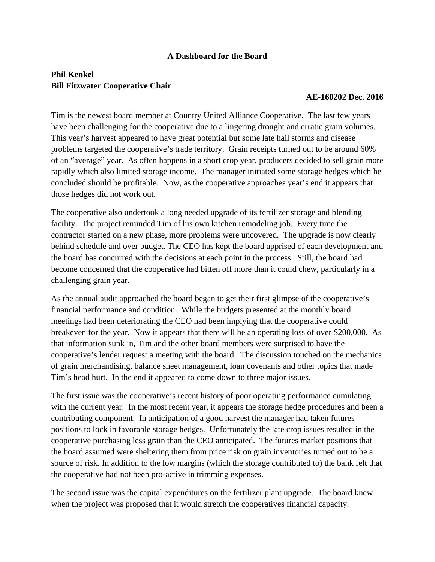## **A Dashboard for the Board**

## **Phil Kenkel Bill Fitzwater Cooperative Chair**

## **AE-160202 Dec. 2016**

Tim is the newest board member at Country United Alliance Cooperative. The last few years have been challenging for the cooperative due to a lingering drought and erratic grain volumes. This year's harvest appeared to have great potential but some late hail storms and disease problems targeted the cooperative's trade territory. Grain receipts turned out to be around 60% of an "average" year. As often happens in a short crop year, producers decided to sell grain more rapidly which also limited storage income. The manager initiated some storage hedges which he concluded should be profitable. Now, as the cooperative approaches year's end it appears that those hedges did not work out.

The cooperative also undertook a long needed upgrade of its fertilizer storage and blending facility. The project reminded Tim of his own kitchen remodeling job. Every time the contractor started on a new phase, more problems were uncovered. The upgrade is now clearly behind schedule and over budget. The CEO has kept the board apprised of each development and the board has concurred with the decisions at each point in the process. Still, the board had become concerned that the cooperative had bitten off more than it could chew, particularly in a challenging grain year.

As the annual audit approached the board began to get their first glimpse of the cooperative's financial performance and condition. While the budgets presented at the monthly board meetings had been deteriorating the CEO had been implying that the cooperative could breakeven for the year. Now it appears that there will be an operating loss of over \$200,000. As that information sunk in, Tim and the other board members were surprised to have the cooperative's lender request a meeting with the board. The discussion touched on the mechanics of grain merchandising, balance sheet management, loan covenants and other topics that made Tim's head hurt. In the end it appeared to come down to three major issues.

The first issue was the cooperative's recent history of poor operating performance cumulating with the current year. In the most recent year, it appears the storage hedge procedures and been a contributing component. In anticipation of a good harvest the manager had taken futures positions to lock in favorable storage hedges. Unfortunately the late crop issues resulted in the cooperative purchasing less grain than the CEO anticipated. The futures market positions that the board assumed were sheltering them from price risk on grain inventories turned out to be a source of risk. In addition to the low margins (which the storage contributed to) the bank felt that the cooperative had not been pro-active in trimming expenses.

The second issue was the capital expenditures on the fertilizer plant upgrade. The board knew when the project was proposed that it would stretch the cooperatives financial capacity.